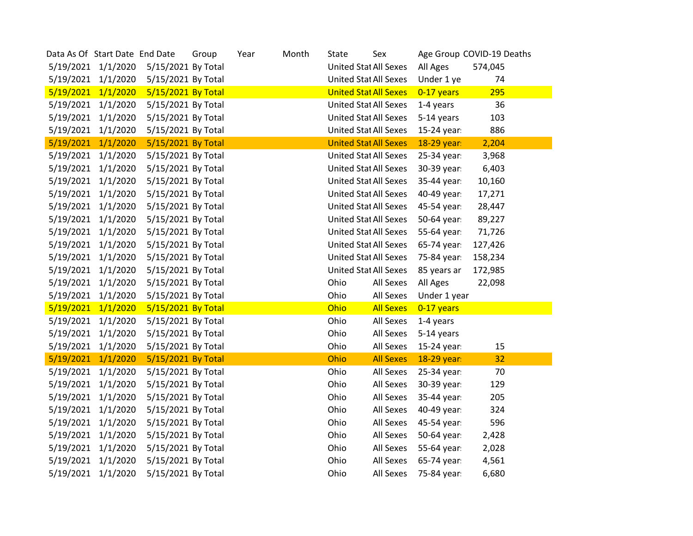| Data As Of Start Date End Date |                    |                    | Group | Year | Month | State | Sex                          |              | Age Group COVID-19 Deaths |  |
|--------------------------------|--------------------|--------------------|-------|------|-------|-------|------------------------------|--------------|---------------------------|--|
|                                | 5/19/2021 1/1/2020 | 5/15/2021 By Total |       |      |       |       | <b>United Stat All Sexes</b> | All Ages     | 574,045                   |  |
|                                | 5/19/2021 1/1/2020 | 5/15/2021 By Total |       |      |       |       | <b>United Stat All Sexes</b> | Under 1 ye   | 74                        |  |
| 5/19/2021                      | 1/1/2020           | 5/15/2021 By Total |       |      |       |       | <b>United Stat All Sexes</b> | 0-17 years   | 295                       |  |
| 5/19/2021                      | 1/1/2020           | 5/15/2021 By Total |       |      |       |       | <b>United Stat All Sexes</b> | 1-4 years    | 36                        |  |
|                                | 5/19/2021 1/1/2020 | 5/15/2021 By Total |       |      |       |       | <b>United Stat All Sexes</b> | 5-14 years   | 103                       |  |
| 5/19/2021                      | 1/1/2020           | 5/15/2021 By Total |       |      |       |       | <b>United Stat All Sexes</b> | 15-24 year:  | 886                       |  |
| 5/19/2021                      | 1/1/2020           | 5/15/2021 By Total |       |      |       |       | <b>United Stat All Sexes</b> | 18-29 year:  | 2,204                     |  |
| 5/19/2021                      | 1/1/2020           | 5/15/2021 By Total |       |      |       |       | <b>United Stat All Sexes</b> | 25-34 year:  | 3,968                     |  |
|                                | 5/19/2021 1/1/2020 | 5/15/2021 By Total |       |      |       |       | <b>United Stat All Sexes</b> | 30-39 year:  | 6,403                     |  |
|                                | 5/19/2021 1/1/2020 | 5/15/2021 By Total |       |      |       |       | <b>United Stat All Sexes</b> | 35-44 year:  | 10,160                    |  |
| 5/19/2021                      | 1/1/2020           | 5/15/2021 By Total |       |      |       |       | <b>United Stat All Sexes</b> | 40-49 year:  | 17,271                    |  |
| 5/19/2021                      | 1/1/2020           | 5/15/2021 By Total |       |      |       |       | <b>United Stat All Sexes</b> | 45-54 year:  | 28,447                    |  |
| 5/19/2021                      | 1/1/2020           | 5/15/2021 By Total |       |      |       |       | <b>United Stat All Sexes</b> | 50-64 year:  | 89,227                    |  |
|                                | 5/19/2021 1/1/2020 | 5/15/2021 By Total |       |      |       |       | <b>United Stat All Sexes</b> | 55-64 year:  | 71,726                    |  |
|                                | 5/19/2021 1/1/2020 | 5/15/2021 By Total |       |      |       |       | United Stat All Sexes        | 65-74 year:  | 127,426                   |  |
| 5/19/2021                      | 1/1/2020           | 5/15/2021 By Total |       |      |       |       | <b>United Stat All Sexes</b> | 75-84 year:  | 158,234                   |  |
| 5/19/2021                      | 1/1/2020           | 5/15/2021 By Total |       |      |       |       | <b>United Stat All Sexes</b> | 85 years ar  | 172,985                   |  |
| 5/19/2021                      | 1/1/2020           | 5/15/2021 By Total |       |      |       | Ohio  | All Sexes                    | All Ages     | 22,098                    |  |
|                                | 5/19/2021 1/1/2020 | 5/15/2021 By Total |       |      |       | Ohio  | All Sexes                    | Under 1 year |                           |  |
| 5/19/2021                      | 1/1/2020           | 5/15/2021 By Total |       |      |       | Ohio  | <b>All Sexes</b>             | 0-17 years   |                           |  |
| 5/19/2021                      | 1/1/2020           | 5/15/2021 By Total |       |      |       | Ohio  | All Sexes                    | 1-4 years    |                           |  |
|                                | 5/19/2021 1/1/2020 | 5/15/2021 By Total |       |      |       | Ohio  | All Sexes                    | 5-14 years   |                           |  |
|                                | 5/19/2021 1/1/2020 | 5/15/2021 By Total |       |      |       | Ohio  | All Sexes                    | 15-24 year:  | 15                        |  |
| 5/19/2021                      | 1/1/2020           | 5/15/2021 By Total |       |      |       | Ohio  | <b>All Sexes</b>             | 18-29 year:  | 32                        |  |
| 5/19/2021                      | 1/1/2020           | 5/15/2021 By Total |       |      |       | Ohio  | All Sexes                    | 25-34 year:  | 70                        |  |
| 5/19/2021                      | 1/1/2020           | 5/15/2021 By Total |       |      |       | Ohio  | All Sexes                    | 30-39 year:  | 129                       |  |
| 5/19/2021                      | 1/1/2020           | 5/15/2021 By Total |       |      |       | Ohio  | All Sexes                    | 35-44 year:  | 205                       |  |
|                                | 5/19/2021 1/1/2020 | 5/15/2021 By Total |       |      |       | Ohio  | All Sexes                    | 40-49 year:  | 324                       |  |
| 5/19/2021                      | 1/1/2020           | 5/15/2021 By Total |       |      |       | Ohio  | All Sexes                    | 45-54 year:  | 596                       |  |
| 5/19/2021                      | 1/1/2020           | 5/15/2021 By Total |       |      |       | Ohio  | All Sexes                    | 50-64 year:  | 2,428                     |  |
| 5/19/2021                      | 1/1/2020           | 5/15/2021 By Total |       |      |       | Ohio  | All Sexes                    | 55-64 year:  | 2,028                     |  |
| 5/19/2021                      | 1/1/2020           | 5/15/2021 By Total |       |      |       | Ohio  | All Sexes                    | 65-74 year:  | 4,561                     |  |
|                                | 5/19/2021 1/1/2020 | 5/15/2021 By Total |       |      |       | Ohio  | All Sexes                    | 75-84 year:  | 6,680                     |  |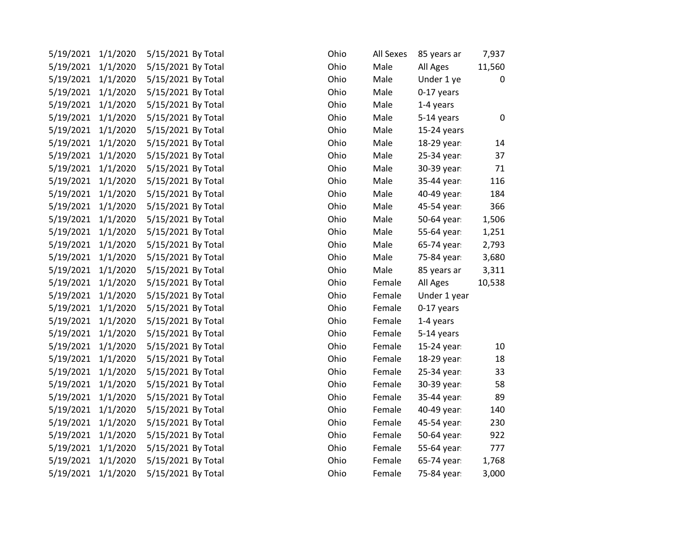| 5/19/2021          | 1/1/2020 | 5/15/2021 By Total | Ohio | All Sexes | 85 years ar  | 7,937  |
|--------------------|----------|--------------------|------|-----------|--------------|--------|
| 5/19/2021          | 1/1/2020 | 5/15/2021 By Total | Ohio | Male      | All Ages     | 11,560 |
| 5/19/2021          | 1/1/2020 | 5/15/2021 By Total | Ohio | Male      | Under 1 ye   | 0      |
| 5/19/2021 1/1/2020 |          | 5/15/2021 By Total | Ohio | Male      | 0-17 years   |        |
| 5/19/2021 1/1/2020 |          | 5/15/2021 By Total | Ohio | Male      | 1-4 years    |        |
| 5/19/2021 1/1/2020 |          | 5/15/2021 By Total | Ohio | Male      | 5-14 years   | 0      |
| 5/19/2021          | 1/1/2020 | 5/15/2021 By Total | Ohio | Male      | 15-24 years  |        |
| 5/19/2021          | 1/1/2020 | 5/15/2021 By Total | Ohio | Male      | 18-29 year:  | $14\,$ |
| 5/19/2021          | 1/1/2020 | 5/15/2021 By Total | Ohio | Male      | 25-34 year:  | 37     |
| 5/19/2021 1/1/2020 |          | 5/15/2021 By Total | Ohio | Male      | 30-39 year:  | 71     |
| 5/19/2021 1/1/2020 |          | 5/15/2021 By Total | Ohio | Male      | 35-44 year:  | 116    |
| 5/19/2021          | 1/1/2020 | 5/15/2021 By Total | Ohio | Male      | 40-49 year:  | 184    |
| 5/19/2021          | 1/1/2020 | 5/15/2021 By Total | Ohio | Male      | 45-54 year:  | 366    |
| 5/19/2021 1/1/2020 |          | 5/15/2021 By Total | Ohio | Male      | 50-64 year:  | 1,506  |
| 5/19/2021 1/1/2020 |          | 5/15/2021 By Total | Ohio | Male      | 55-64 year:  | 1,251  |
| 5/19/2021 1/1/2020 |          | 5/15/2021 By Total | Ohio | Male      | 65-74 year:  | 2,793  |
| 5/19/2021          | 1/1/2020 | 5/15/2021 By Total | Ohio | Male      | 75-84 year:  | 3,680  |
| 5/19/2021          | 1/1/2020 | 5/15/2021 By Total | Ohio | Male      | 85 years ar  | 3,311  |
| 5/19/2021          | 1/1/2020 | 5/15/2021 By Total | Ohio | Female    | All Ages     | 10,538 |
| 5/19/2021 1/1/2020 |          | 5/15/2021 By Total | Ohio | Female    | Under 1 year |        |
| 5/19/2021 1/1/2020 |          | 5/15/2021 By Total | Ohio | Female    | 0-17 years   |        |
| 5/19/2021          | 1/1/2020 | 5/15/2021 By Total | Ohio | Female    | 1-4 years    |        |
| 5/19/2021          | 1/1/2020 | 5/15/2021 By Total | Ohio | Female    | 5-14 years   |        |
| 5/19/2021          | 1/1/2020 | 5/15/2021 By Total | Ohio | Female    | 15-24 year:  | 10     |
| 5/19/2021 1/1/2020 |          | 5/15/2021 By Total | Ohio | Female    | 18-29 year:  | 18     |
| 5/19/2021 1/1/2020 |          | 5/15/2021 By Total | Ohio | Female    | 25-34 year:  | 33     |
| 5/19/2021 1/1/2020 |          | 5/15/2021 By Total | Ohio | Female    | 30-39 year:  | 58     |
| 5/19/2021          | 1/1/2020 | 5/15/2021 By Total | Ohio | Female    | 35-44 year:  | 89     |
| 5/19/2021          | 1/1/2020 | 5/15/2021 By Total | Ohio | Female    | 40-49 year:  | 140    |
| 5/19/2021 1/1/2020 |          | 5/15/2021 By Total | Ohio | Female    | 45-54 year:  | 230    |
| 5/19/2021 1/1/2020 |          | 5/15/2021 By Total | Ohio | Female    | 50-64 year:  | 922    |
| 5/19/2021          | 1/1/2020 | 5/15/2021 By Total | Ohio | Female    | 55-64 year:  | 777    |
| 5/19/2021          | 1/1/2020 | 5/15/2021 By Total | Ohio | Female    | 65-74 year:  | 1,768  |
| 5/19/2021          | 1/1/2020 | 5/15/2021 By Total | Ohio | Female    | 75-84 year:  | 3,000  |
|                    |          |                    |      |           |              |        |